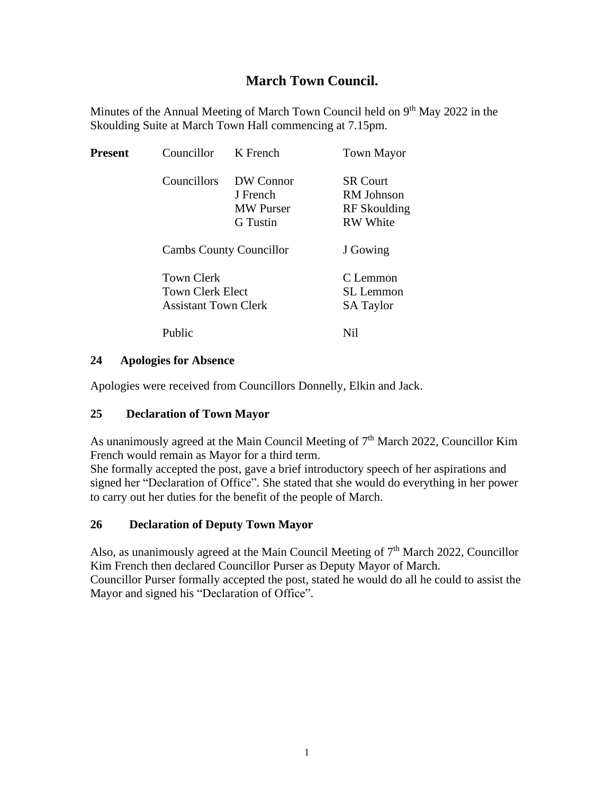# **March Town Council.**

Minutes of the Annual Meeting of March Town Council held on 9<sup>th</sup> May 2022 in the Skoulding Suite at March Town Hall commencing at 7.15pm.

| <b>Present</b> | Councillor                                                    | K French                                                     | <b>Town Mayor</b>                                                |
|----------------|---------------------------------------------------------------|--------------------------------------------------------------|------------------------------------------------------------------|
|                | Councillors                                                   | DW Connor<br>J French<br><b>MW</b> Purser<br><b>G</b> Tustin | <b>SR Court</b><br>RM Johnson<br>RF Skoulding<br><b>RW</b> White |
|                |                                                               | <b>Cambs County Councillor</b>                               | J Gowing                                                         |
|                | Town Clerk<br>Town Clerk Elect<br><b>Assistant Town Clerk</b> |                                                              | C Lemmon<br>SL Lemmon<br><b>SA Taylor</b>                        |
|                | Public                                                        |                                                              | Nil                                                              |

#### **24 Apologies for Absence**

Apologies were received from Councillors Donnelly, Elkin and Jack.

## **25 Declaration of Town Mayor**

As unanimously agreed at the Main Council Meeting of 7<sup>th</sup> March 2022, Councillor Kim French would remain as Mayor for a third term.

She formally accepted the post, gave a brief introductory speech of her aspirations and signed her "Declaration of Office". She stated that she would do everything in her power to carry out her duties for the benefit of the people of March.

## **26 Declaration of Deputy Town Mayor**

Also, as unanimously agreed at the Main Council Meeting of  $7<sup>th</sup>$  March 2022, Councillor Kim French then declared Councillor Purser as Deputy Mayor of March. Councillor Purser formally accepted the post, stated he would do all he could to assist the Mayor and signed his "Declaration of Office".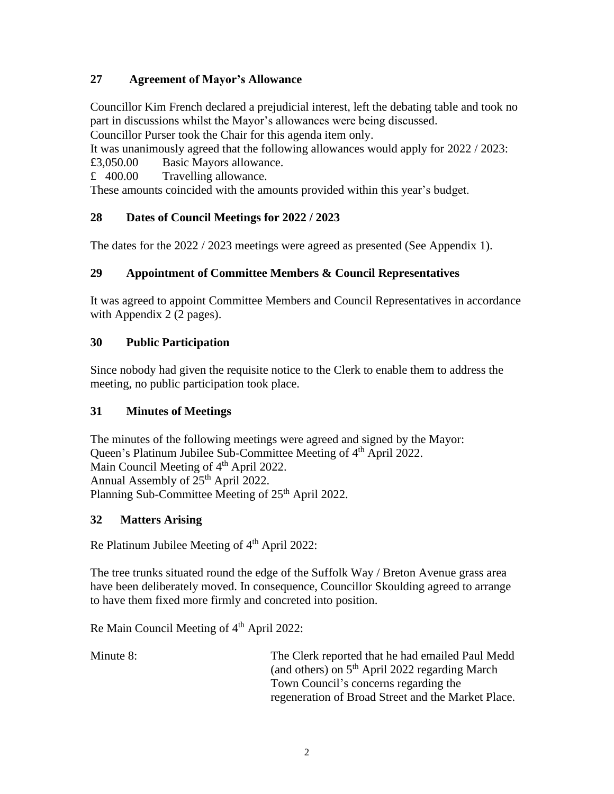# **27 Agreement of Mayor's Allowance**

Councillor Kim French declared a prejudicial interest, left the debating table and took no part in discussions whilst the Mayor's allowances were being discussed.

Councillor Purser took the Chair for this agenda item only.

It was unanimously agreed that the following allowances would apply for 2022 / 2023: £3,050.00 Basic Mayors allowance.

£ 400.00 Travelling allowance.

These amounts coincided with the amounts provided within this year's budget.

# **28 Dates of Council Meetings for 2022 / 2023**

The dates for the 2022 / 2023 meetings were agreed as presented (See Appendix 1).

# **29 Appointment of Committee Members & Council Representatives**

It was agreed to appoint Committee Members and Council Representatives in accordance with Appendix 2 (2 pages).

## **30 Public Participation**

Since nobody had given the requisite notice to the Clerk to enable them to address the meeting, no public participation took place.

## **31 Minutes of Meetings**

The minutes of the following meetings were agreed and signed by the Mayor: Queen's Platinum Jubilee Sub-Committee Meeting of 4<sup>th</sup> April 2022. Main Council Meeting of 4<sup>th</sup> April 2022. Annual Assembly of 25<sup>th</sup> April 2022. Planning Sub-Committee Meeting of 25<sup>th</sup> April 2022.

## **32 Matters Arising**

Re Platinum Jubilee Meeting of  $4<sup>th</sup>$  April 2022:

The tree trunks situated round the edge of the Suffolk Way / Breton Avenue grass area have been deliberately moved. In consequence, Councillor Skoulding agreed to arrange to have them fixed more firmly and concreted into position.

Re Main Council Meeting of 4<sup>th</sup> April 2022:

Minute 8: The Clerk reported that he had emailed Paul Medd (and others) on 5th April 2022 regarding March Town Council's concerns regarding the regeneration of Broad Street and the Market Place.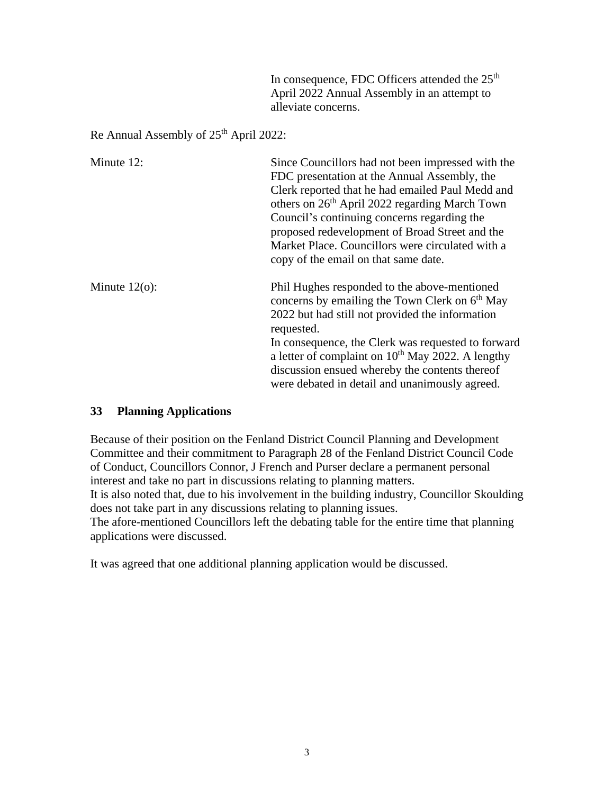In consequence, FDC Officers attended the 25<sup>th</sup> April 2022 Annual Assembly in an attempt to alleviate concerns.

Re Annual Assembly of  $25<sup>th</sup>$  April 2022:

| Minute 12:       | Since Councillors had not been impressed with the<br>FDC presentation at the Annual Assembly, the<br>Clerk reported that he had emailed Paul Medd and<br>others on 26 <sup>th</sup> April 2022 regarding March Town<br>Council's continuing concerns regarding the<br>proposed redevelopment of Broad Street and the<br>Market Place. Councillors were circulated with a<br>copy of the email on that same date. |
|------------------|------------------------------------------------------------------------------------------------------------------------------------------------------------------------------------------------------------------------------------------------------------------------------------------------------------------------------------------------------------------------------------------------------------------|
| Minute $12(o)$ : | Phil Hughes responded to the above-mentioned<br>concerns by emailing the Town Clerk on 6 <sup>th</sup> May<br>2022 but had still not provided the information<br>requested.<br>In consequence, the Clerk was requested to forward<br>a letter of complaint on 10 <sup>th</sup> May 2022. A lengthy<br>discussion ensued whereby the contents thereof<br>were debated in detail and unanimously agreed.           |

#### **33 Planning Applications**

Because of their position on the Fenland District Council Planning and Development Committee and their commitment to Paragraph 28 of the Fenland District Council Code of Conduct, Councillors Connor, J French and Purser declare a permanent personal interest and take no part in discussions relating to planning matters. It is also noted that, due to his involvement in the building industry, Councillor Skoulding does not take part in any discussions relating to planning issues.

The afore-mentioned Councillors left the debating table for the entire time that planning applications were discussed.

It was agreed that one additional planning application would be discussed.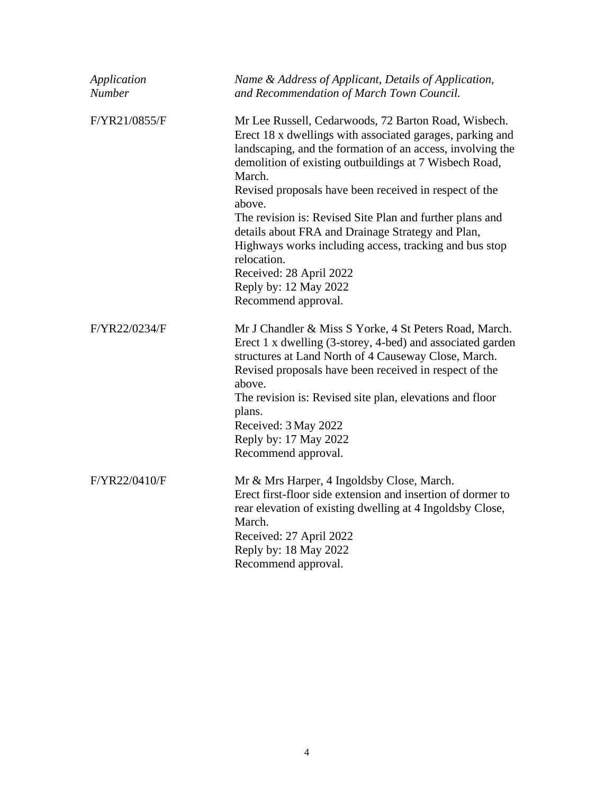| Application<br><b>Number</b> | Name & Address of Applicant, Details of Application,<br>and Recommendation of March Town Council.                                                                                                                                                                                                                                                                                              |
|------------------------------|------------------------------------------------------------------------------------------------------------------------------------------------------------------------------------------------------------------------------------------------------------------------------------------------------------------------------------------------------------------------------------------------|
| F/YR21/0855/F                | Mr Lee Russell, Cedarwoods, 72 Barton Road, Wisbech.<br>Erect 18 x dwellings with associated garages, parking and<br>landscaping, and the formation of an access, involving the<br>demolition of existing outbuildings at 7 Wisbech Road,<br>March.<br>Revised proposals have been received in respect of the<br>above.                                                                        |
|                              | The revision is: Revised Site Plan and further plans and<br>details about FRA and Drainage Strategy and Plan,<br>Highways works including access, tracking and bus stop<br>relocation.                                                                                                                                                                                                         |
|                              | Received: 28 April 2022                                                                                                                                                                                                                                                                                                                                                                        |
|                              | Reply by: 12 May 2022                                                                                                                                                                                                                                                                                                                                                                          |
|                              | Recommend approval.                                                                                                                                                                                                                                                                                                                                                                            |
| F/YR22/0234/F                | Mr J Chandler & Miss S Yorke, 4 St Peters Road, March.<br>Erect 1 x dwelling (3-storey, 4-bed) and associated garden<br>structures at Land North of 4 Causeway Close, March.<br>Revised proposals have been received in respect of the<br>above.<br>The revision is: Revised site plan, elevations and floor<br>plans.<br>Received: 3 May 2022<br>Reply by: 17 May 2022<br>Recommend approval. |
| F/YR22/0410/F                | Mr & Mrs Harper, 4 Ingoldsby Close, March.<br>Erect first-floor side extension and insertion of dormer to<br>rear elevation of existing dwelling at 4 Ingoldsby Close,<br>March.<br>Received: 27 April 2022<br>Reply by: 18 May 2022<br>Recommend approval.                                                                                                                                    |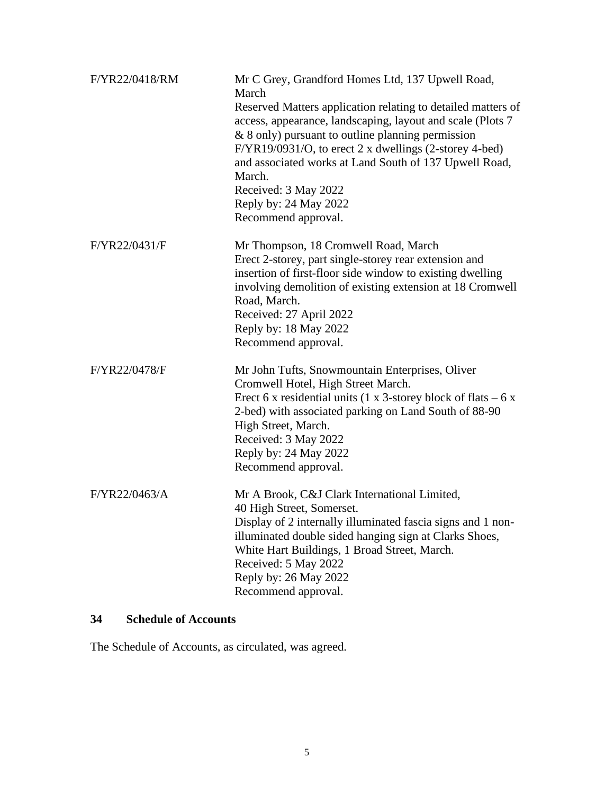| F/YR22/0418/RM | Mr C Grey, Grandford Homes Ltd, 137 Upwell Road,<br>March<br>Reserved Matters application relating to detailed matters of<br>access, appearance, landscaping, layout and scale (Plots 7<br>& 8 only) pursuant to outline planning permission<br>F/YR19/0931/O, to erect 2 x dwellings (2-storey 4-bed)<br>and associated works at Land South of 137 Upwell Road,<br>March.<br>Received: 3 May 2022<br>Reply by: 24 May 2022<br>Recommend approval. |
|----------------|----------------------------------------------------------------------------------------------------------------------------------------------------------------------------------------------------------------------------------------------------------------------------------------------------------------------------------------------------------------------------------------------------------------------------------------------------|
| F/YR22/0431/F  | Mr Thompson, 18 Cromwell Road, March<br>Erect 2-storey, part single-storey rear extension and<br>insertion of first-floor side window to existing dwelling<br>involving demolition of existing extension at 18 Cromwell<br>Road, March.<br>Received: 27 April 2022<br>Reply by: 18 May 2022<br>Recommend approval.                                                                                                                                 |
| F/YR22/0478/F  | Mr John Tufts, Snowmountain Enterprises, Oliver<br>Cromwell Hotel, High Street March.<br>Erect 6 x residential units (1 x 3-storey block of flats $-6x$<br>2-bed) with associated parking on Land South of 88-90<br>High Street, March.<br>Received: 3 May 2022<br>Reply by: 24 May 2022<br>Recommend approval.                                                                                                                                    |
| F/YR22/0463/A  | Mr A Brook, C&J Clark International Limited,<br>40 High Street, Somerset.<br>Display of 2 internally illuminated fascia signs and 1 non-<br>illuminated double sided hanging sign at Clarks Shoes,<br>White Hart Buildings, 1 Broad Street, March.<br>Received: 5 May 2022<br>Reply by: 26 May 2022<br>Recommend approval.                                                                                                                         |

# **34 Schedule of Accounts**

The Schedule of Accounts, as circulated, was agreed.